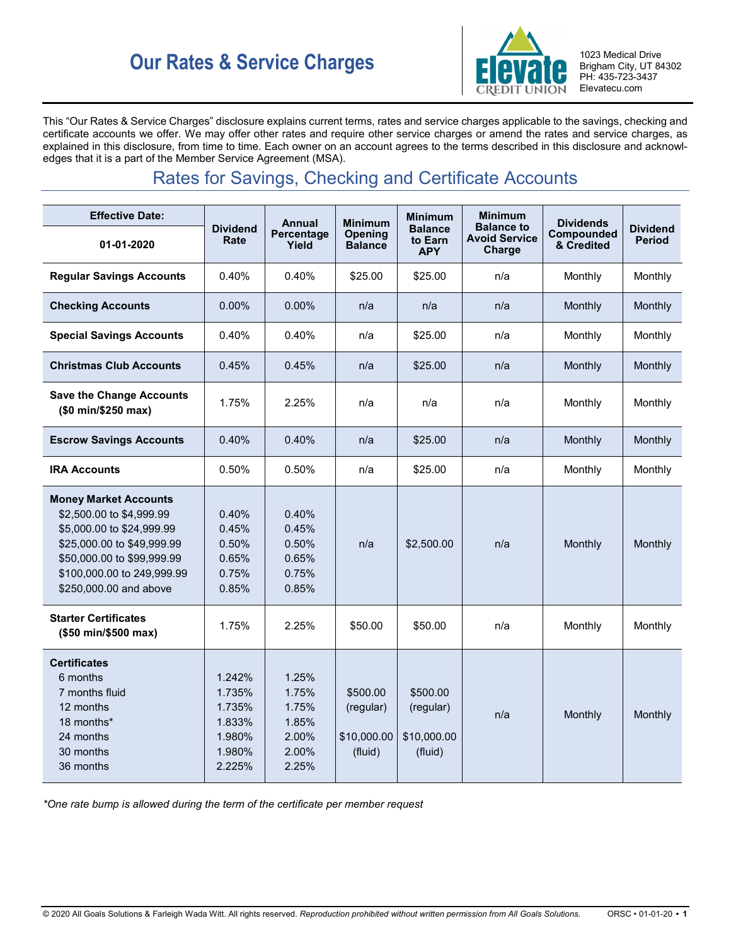# **Our Rates & Service Charges ELQVAIQ** 1023 Medical Drive



Brigham City, UT 84302 PH: 435-723-3437 Elevatecu.com

This "Our Rates & Service Charges" disclosure explains current terms, rates and service charges applicable to the savings, checking and certificate accounts we offer. We may offer other rates and require other service charges or amend the rates and service charges, as explained in this disclosure, from time to time. Each owner on an account agrees to the terms described in this disclosure and acknowledges that it is a part of the Member Service Agreement (MSA).

# Rates for Savings, Checking and Certificate Accounts

| <b>Effective Date:</b>                                                                                                                                                                                    | <b>Dividend</b><br>Rate                                            | Annual                                                      | <b>Minimum</b>                                  | <b>Minimum</b>                                  | <b>Minimum</b>                                      | <b>Dividends</b>         |                                  |
|-----------------------------------------------------------------------------------------------------------------------------------------------------------------------------------------------------------|--------------------------------------------------------------------|-------------------------------------------------------------|-------------------------------------------------|-------------------------------------------------|-----------------------------------------------------|--------------------------|----------------------------------|
| 01-01-2020                                                                                                                                                                                                |                                                                    | Percentage<br>Yield                                         | Opening<br><b>Balance</b>                       | <b>Balance</b><br>to Earn<br><b>APY</b>         | <b>Balance to</b><br><b>Avoid Service</b><br>Charge | Compounded<br>& Credited | <b>Dividend</b><br><b>Period</b> |
| <b>Regular Savings Accounts</b>                                                                                                                                                                           | 0.40%                                                              | 0.40%                                                       | \$25.00                                         | \$25.00                                         | n/a                                                 | Monthly                  | Monthly                          |
| <b>Checking Accounts</b>                                                                                                                                                                                  | 0.00%                                                              | 0.00%                                                       | n/a                                             | n/a                                             | n/a                                                 | Monthly                  | Monthly                          |
| <b>Special Savings Accounts</b>                                                                                                                                                                           | 0.40%                                                              | 0.40%                                                       | n/a                                             | \$25.00                                         | n/a                                                 | Monthly                  | Monthly                          |
| <b>Christmas Club Accounts</b>                                                                                                                                                                            | 0.45%                                                              | 0.45%                                                       | n/a                                             | \$25.00                                         | n/a                                                 | Monthly                  | Monthly                          |
| <b>Save the Change Accounts</b><br>(\$0 min/\$250 max)                                                                                                                                                    | 1.75%                                                              | 2.25%                                                       | n/a                                             | n/a                                             | n/a                                                 | Monthly                  | Monthly                          |
| <b>Escrow Savings Accounts</b>                                                                                                                                                                            | 0.40%                                                              | 0.40%                                                       | n/a                                             | \$25.00                                         | n/a                                                 | Monthly                  | Monthly                          |
| <b>IRA Accounts</b>                                                                                                                                                                                       | 0.50%                                                              | 0.50%                                                       | n/a                                             | \$25.00                                         | n/a                                                 | Monthly                  | Monthly                          |
| <b>Money Market Accounts</b><br>\$2,500.00 to \$4,999.99<br>\$5,000.00 to \$24,999.99<br>\$25,000.00 to \$49,999.99<br>\$50,000.00 to \$99,999.99<br>\$100,000.00 to 249,999.99<br>\$250,000.00 and above | 0.40%<br>0.45%<br>0.50%<br>0.65%<br>0.75%<br>0.85%                 | 0.40%<br>0.45%<br>0.50%<br>0.65%<br>0.75%<br>0.85%          | n/a                                             | \$2,500.00                                      | n/a                                                 | Monthly                  | Monthly                          |
| <b>Starter Certificates</b><br>(\$50 min/\$500 max)                                                                                                                                                       | 1.75%                                                              | 2.25%                                                       | \$50.00                                         | \$50.00                                         | n/a                                                 | Monthly                  | Monthly                          |
| <b>Certificates</b><br>6 months<br>7 months fluid<br>12 months<br>18 months*<br>24 months<br>30 months<br>36 months                                                                                       | 1.242%<br>1.735%<br>1.735%<br>1.833%<br>1.980%<br>1.980%<br>2.225% | 1.25%<br>1.75%<br>1.75%<br>1.85%<br>2.00%<br>2.00%<br>2.25% | \$500.00<br>(regular)<br>\$10,000.00<br>(fluid) | \$500.00<br>(regular)<br>\$10,000.00<br>(fluid) | n/a                                                 | Monthly                  | Monthly                          |

*\*One rate bump is allowed during the term of the certificate per member request*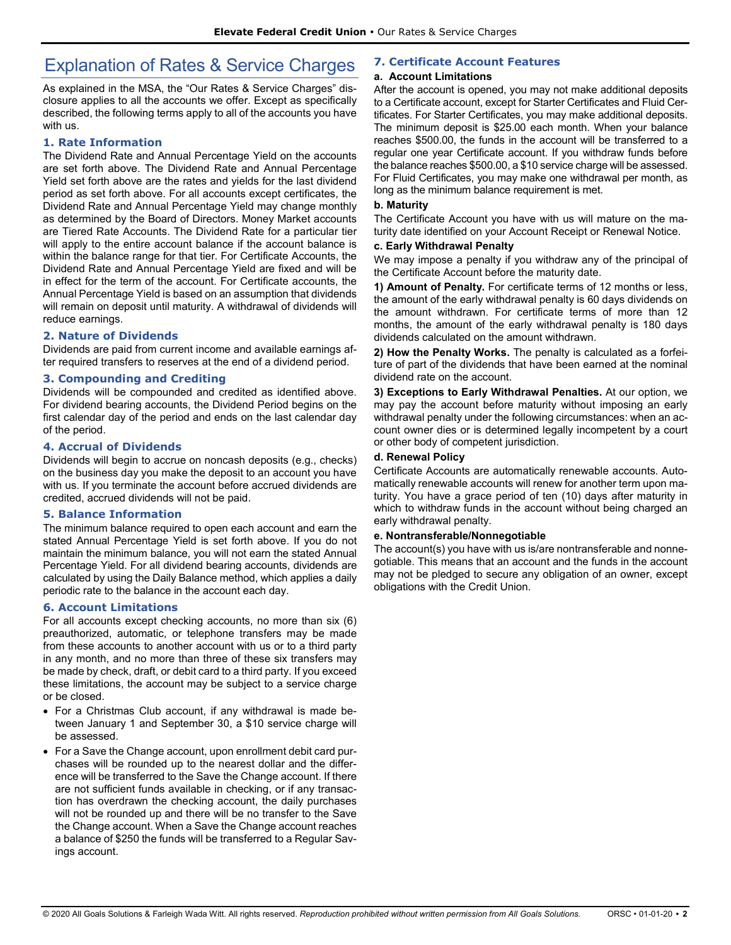# Explanation of Rates & Service Charges

As explained in the MSA, the "Our Rates & Service Charges" disclosure applies to all the accounts we offer. Except as specifically described, the following terms apply to all of the accounts you have with us.

#### **1. Rate Information**

The Dividend Rate and Annual Percentage Yield on the accounts are set forth above. The Dividend Rate and Annual Percentage Yield set forth above are the rates and yields for the last dividend period as set forth above. For all accounts except certificates, the Dividend Rate and Annual Percentage Yield may change monthly as determined by the Board of Directors. Money Market accounts are Tiered Rate Accounts. The Dividend Rate for a particular tier will apply to the entire account balance if the account balance is within the balance range for that tier. For Certificate Accounts, the Dividend Rate and Annual Percentage Yield are fixed and will be in effect for the term of the account. For Certificate accounts, the Annual Percentage Yield is based on an assumption that dividends will remain on deposit until maturity. A withdrawal of dividends will reduce earnings.

#### **2. Nature of Dividends**

Dividends are paid from current income and available earnings after required transfers to reserves at the end of a dividend period.

#### **3. Compounding and Crediting**

Dividends will be compounded and credited as identified above. For dividend bearing accounts, the Dividend Period begins on the first calendar day of the period and ends on the last calendar day of the period.

#### **4. Accrual of Dividends**

Dividends will begin to accrue on noncash deposits (e.g., checks) on the business day you make the deposit to an account you have with us. If you terminate the account before accrued dividends are credited, accrued dividends will not be paid.

#### **5. Balance Information**

The minimum balance required to open each account and earn the stated Annual Percentage Yield is set forth above. If you do not maintain the minimum balance, you will not earn the stated Annual Percentage Yield. For all dividend bearing accounts, dividends are calculated by using the Daily Balance method, which applies a daily periodic rate to the balance in the account each day.

#### **6. Account Limitations**

For all accounts except checking accounts, no more than six (6) preauthorized, automatic, or telephone transfers may be made from these accounts to another account with us or to a third party in any month, and no more than three of these six transfers may be made by check, draft, or debit card to a third party. If you exceed these limitations, the account may be subject to a service charge or be closed.

- For a Christmas Club account, if any withdrawal is made between January 1 and September 30, a \$10 service charge will be assessed.
- For a Save the Change account, upon enrollment debit card purchases will be rounded up to the nearest dollar and the difference will be transferred to the Save the Change account. If there are not sufficient funds available in checking, or if any transaction has overdrawn the checking account, the daily purchases will not be rounded up and there will be no transfer to the Save the Change account. When a Save the Change account reaches a balance of \$250 the funds will be transferred to a Regular Savings account.

### **7. Certificate Account Features**

#### **a. Account Limitations**

After the account is opened, you may not make additional deposits to a Certificate account, except for Starter Certificates and Fluid Certificates. For Starter Certificates, you may make additional deposits. The minimum deposit is \$25.00 each month. When your balance reaches \$500.00, the funds in the account will be transferred to a regular one year Certificate account. If you withdraw funds before the balance reaches \$500.00, a \$10 service charge will be assessed. For Fluid Certificates, you may make one withdrawal per month, as long as the minimum balance requirement is met.

#### **b. Maturity**

The Certificate Account you have with us will mature on the maturity date identified on your Account Receipt or Renewal Notice.

#### **c. Early Withdrawal Penalty**

We may impose a penalty if you withdraw any of the principal of the Certificate Account before the maturity date.

**1) Amount of Penalty.** For certificate terms of 12 months or less, the amount of the early withdrawal penalty is 60 days dividends on the amount withdrawn. For certificate terms of more than 12 months, the amount of the early withdrawal penalty is 180 days dividends calculated on the amount withdrawn.

**2) How the Penalty Works.** The penalty is calculated as a forfeiture of part of the dividends that have been earned at the nominal dividend rate on the account.

**3) Exceptions to Early Withdrawal Penalties.** At our option, we may pay the account before maturity without imposing an early withdrawal penalty under the following circumstances: when an account owner dies or is determined legally incompetent by a court or other body of competent jurisdiction.

#### **d. Renewal Policy**

Certificate Accounts are automatically renewable accounts. Automatically renewable accounts will renew for another term upon maturity. You have a grace period of ten (10) days after maturity in which to withdraw funds in the account without being charged an early withdrawal penalty.

#### **e. Nontransferable/Nonnegotiable**

The account(s) you have with us is/are nontransferable and nonnegotiable. This means that an account and the funds in the account may not be pledged to secure any obligation of an owner, except obligations with the Credit Union.